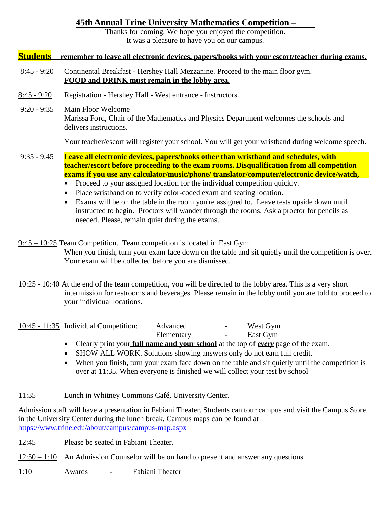# **45th Annual Trine University Mathematics Competition –**

Thanks for coming. We hope you enjoyed the competition. It was a pleasure to have you on our campus.

### **Students – remember to leave all electronic devices, papers/books with your escort/teacher during exams.**

- 8:45 9:20 Continental Breakfast Hershey Hall Mezzanine. Proceed to the main floor gym. **FOOD and DRINK must remain in the lobby area.**
- 8:45 9:20 Registration Hershey Hall West entrance Instructors
- 9:20 9:35 Main Floor Welcome Marissa Ford, Chair of the Mathematics and Physics Department welcomes the schools and delivers instructions.

Your teacher/escort will register your school. You will get your wristband during welcome speech.

 $9:35 - 9:45$ L**eave all electronic devices, papers/books other than wristband and schedules, with teacher/escort before proceeding to the exam rooms. Disqualification from all competition exams if you use any calculator/music/phone/ translator/computer/electronic device/watch,** 

- Proceed to your assigned location for the individual competition quickly.
- Place wristband on to verify color-coded exam and seating location.
- Exams will be on the table in the room you're assigned to. Leave tests upside down until instructed to begin. Proctors will wander through the rooms. Ask a proctor for pencils as needed. Please, remain quiet during the exams.
- 9:45 10:25 Team Competition. Team competition is located in East Gym. When you finish, turn your exam face down on the table and sit quietly until the competition is over. Your exam will be collected before you are dismissed.
- 10:25 10:40 At the end of the team competition, you will be directed to the lobby area. This is a very short intermission for restrooms and beverages. Please remain in the lobby until you are told to proceed to your individual locations.

| $10:45 - 11:35$ Individual Competition: | Advanced |  | West Gym |
|-----------------------------------------|----------|--|----------|
|-----------------------------------------|----------|--|----------|

- Elementary East Gym • Clearly print your **full name and your school** at the top of *every* page of the exam.
- SHOW ALL WORK. Solutions showing answers only do not earn full credit.
- When you finish, turn your exam face down on the table and sit quietly until the competition is over at 11:35. When everyone is finished we will collect your test by school

#### 11:35 Lunch in Whitney Commons Café, University Center.

Admission staff will have a presentation in Fabiani Theater. Students can tour campus and visit the Campus Store in the University Center during the lunch break. Campus maps can be found at <https://www.trine.edu/about/campus/campus-map.aspx>

12:45 Please be seated in Fabiani Theater.

 $12:50 - 1:10$  An Admission Counselor will be on hand to present and answer any questions.

1:10 Awards - Fabiani Theater